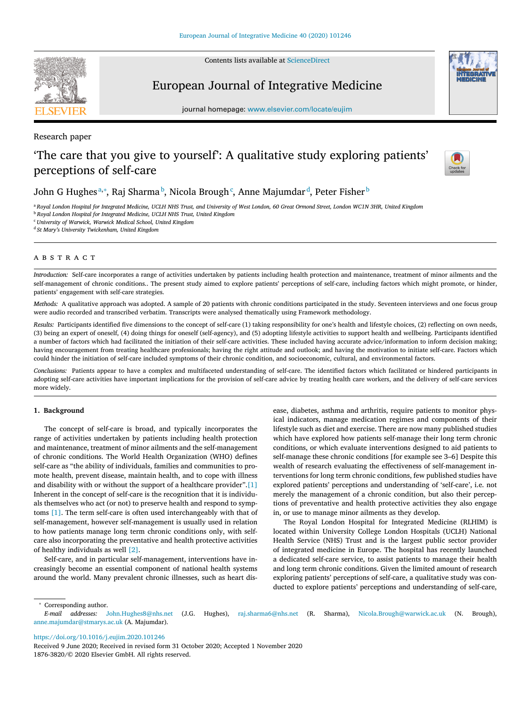Contents lists available at [ScienceDirect](http://www.ScienceDirect.com)

# European Journal of Integrative Medicine

journal homepage: [www.elsevier.com/locate/eujim](http://www.elsevier.com/locate/eujim)

## Research paper

## 'The care that you give to yourself': A qualitative study exploring patients' perceptions of self-care



John G Hughesª,\*, Raj Sharma <sup>b</sup>, Nicola Brough¢, Anne Majumdar <sup>d</sup>, Peter Fisher <sup>b</sup>

a Royal London Hospital for Integrated Medicine, UCLH NHS Trust, and University of West London, 60 Great Ormond Street, London WC1N 3HR, United Kingdom <sup>b</sup> *Royal London Hospital for Integrated Medicine, UCLH NHS Trust, United Kingdom*

<sup>c</sup> *University of Warwick, Warwick Medical School, United Kingdom*

<sup>d</sup> *St Mary's University Twickenham, United Kingdom*

A B S T R A C T

*Introduction:* Self-care incorporates a range of activities undertaken by patients including health protection and maintenance, treatment of minor ailments and the self-management of chronic conditions.. The present study aimed to explore patients' perceptions of self-care, including factors which might promote, or hinder, patients' engagement with self-care strategies.

*Methods*: A qualitative approach was adopted. A sample of 20 patients with chronic conditions participated in the study. Seventeen interviews and one focus group were audio recorded and transcribed verbatim. Transcripts were analysed thematically using Framework methodology.

*Results:* Participants identified five dimensions to the concept of self-care (1) taking responsibility for one's health and lifestyle choices, (2) reflecting on own needs, (3) being an expert of oneself, (4) doing things for oneself (self-agency), and (5) adopting lifestyle activities to support health and wellbeing. Participants identified a number of factors which had facilitated the initiation of their self-care activities. These included having accurate advice/information to inform decision making; having encouragement from treating healthcare professionals; having the right attitude and outlook; and having the motivation to initiate self-care. Factors which could hinder the initiation of self-care included symptoms of their chronic condition, and socioeconomic, cultural, and environmental factors.

*Conclusions:* Patients appear to have a complex and multifaceted understanding of self-care. The identified factors which facilitated or hindered participants in adopting self-care activities have important implications for the provision of self-care advice by treating health care workers, and the delivery of self-care services more widely.

#### **1. Background**

The concept of self-care is broad, and typically incorporates the range of activities undertaken by patients including health protection and maintenance, treatment of minor ailments and the self-management of chronic conditions. The World Health Organization (WHO) defines self-care as "the ability of individuals, families and communities to promote health, prevent disease, maintain health, and to cope with illness and disability with or without the support of a healthcare provider"[.\[1\]](#page-4-0) Inherent in the concept of self-care is the recognition that it is individuals themselves who act (or not) to preserve health and respond to symptoms [\[1\].](#page-4-0) The term self-care is often used interchangeably with that of self-management, however self-management is usually used in relation to how patients manage long term chronic conditions only, with selfcare also incorporating the preventative and health protective activities of healthy individuals as well [\[2\].](#page-4-0)

Self-care, and in particular self-management, interventions have increasingly become an essential component of national health systems around the world. Many prevalent chronic illnesses, such as heart disease, diabetes, asthma and arthritis, require patients to monitor physical indicators, manage medication regimes and components of their lifestyle such as diet and exercise. There are now many published studies which have explored how patients self-manage their long term chronic conditions, or which evaluate interventions designed to aid patients to self-manage these chronic conditions [for example see 3–6] Despite this wealth of research evaluating the effectiveness of self-management interventions for long term chronic conditions, few published studies have explored patients' perceptions and understanding of 'self-care', i.e. not merely the management of a chronic condition, but also their perceptions of preventative and health protective activities they also engage in, or use to manage minor ailments as they develop.

The Royal London Hospital for Integrated Medicine (RLHIM) is located within University College London Hospitals (UCLH) National Health Service (NHS) Trust and is the largest public sector provider of integrated medicine in Europe. The hospital has recently launched a dedicated self-care service, to assist patients to manage their health and long term chronic conditions. Given the limited amount of research exploring patients' perceptions of self-care, a qualitative study was conducted to explore patients' perceptions and understanding of self-care,

<sup>∗</sup> Corresponding author.

<https://doi.org/10.1016/j.eujim.2020.101246>

*E-mail addresses:* [John.Hughes8@nhs.net](mailto:John.Hughes8@nhs.net) (J.G. Hughes), [raj.sharma6@nhs.net](mailto:raj.sharma6@nhs.net) (R. Sharma), [Nicola.Brough@warwick.ac.uk](mailto:Nicola.Brough@warwick.ac.uk) (N. Brough), [anne.majumdar@stmarys.ac.uk](mailto:anne.majumdar@stmarys.ac.uk) (A. Majumdar).

Received 9 June 2020; Received in revised form 31 October 2020; Accepted 1 November 2020 1876-3820/© 2020 Elsevier GmbH. All rights reserved.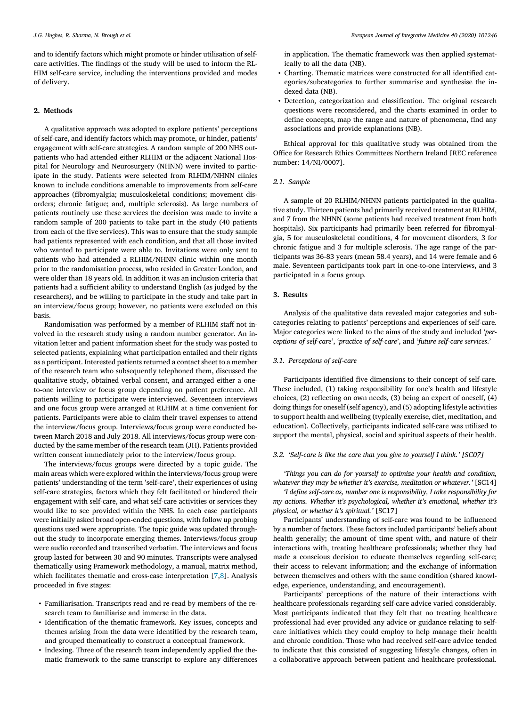and to identify factors which might promote or hinder utilisation of selfcare activities. The findings of the study will be used to inform the RL-HIM self-care service, including the interventions provided and modes of delivery.

### **2. Methods**

A qualitative approach was adopted to explore patients' perceptions of self-care, and identify factors which may promote, or hinder, patients' engagement with self-care strategies. A random sample of 200 NHS outpatients who had attended either RLHIM or the adjacent National Hospital for Neurology and Neurosurgery (NHNN) were invited to participate in the study. Patients were selected from RLHIM/NHNN clinics known to include conditions amenable to improvements from self-care approaches (fibromyalgia; musculoskeletal conditions; movement disorders; chronic fatigue; and, multiple sclerosis). As large numbers of patients routinely use these services the decision was made to invite a random sample of 200 patients to take part in the study (40 patients from each of the five services). This was to ensure that the study sample had patients represented with each condition, and that all those invited who wanted to participate were able to. Invitations were only sent to patients who had attended a RLHIM/NHNN clinic within one month prior to the randomisation process, who resided in Greater London, and were older than 18 years old. In addition it was an inclusion criteria that patients had a sufficient ability to understand English (as judged by the researchers), and be willing to participate in the study and take part in an interview/focus group; however, no patients were excluded on this basis.

Randomisation was performed by a member of RLHIM staff not involved in the research study using a random number generator. An invitation letter and patient information sheet for the study was posted to selected patients, explaining what participation entailed and their rights as a participant. Interested patients returned a contact sheet to a member of the research team who subsequently telephoned them, discussed the qualitative study, obtained verbal consent, and arranged either a oneto-one interview or focus group depending on patient preference. All patients willing to participate were interviewed. Seventeen interviews and one focus group were arranged at RLHIM at a time convenient for patients. Participants were able to claim their travel expenses to attend the interview/focus group. Interviews/focus group were conducted between March 2018 and July 2018. All interviews/focus group were conducted by the same member of the research team (JH). Patients provided written consent immediately prior to the interview/focus group.

The interviews/focus groups were directed by a topic guide. The main areas which were explored within the interviews/focus group were patients' understanding of the term 'self-care', their experiences of using self-care strategies, factors which they felt facilitated or hindered their engagement with self-care, and what self-care activities or services they would like to see provided within the NHS. In each case participants were initially asked broad open-ended questions, with follow up probing questions used were appropriate. The topic guide was updated throughout the study to incorporate emerging themes. Interviews/focus group were audio recorded and transcribed verbatim. The interviews and focus group lasted for between 30 and 90 minutes. Transcripts were analysed thematically using Framework methodology, a manual, matrix method, which facilitates thematic and cross-case interpretation [\[7,8\]](#page-4-0). Analysis proceeded in five stages:

- Familiarisation. Transcripts read and re-read by members of the research team to familiarise and immerse in the data.
- Identification of the thematic framework. Key issues, concepts and themes arising from the data were identified by the research team, and grouped thematically to construct a conceptual framework.
- Indexing. Three of the research team independently applied the thematic framework to the same transcript to explore any differences

in application. The thematic framework was then applied systematically to all the data (NB).

- Charting. Thematic matrices were constructed for all identified categories/subcategories to further summarise and synthesise the indexed data (NB).
- Detection, categorization and classification. The original research questions were reconsidered, and the charts examined in order to define concepts, map the range and nature of phenomena, find any associations and provide explanations (NB).

Ethical approval for this qualitative study was obtained from the Office for Research Ethics Committees Northern Ireland [REC reference number: 14/NI/0007].

#### *2.1. Sample*

A sample of 20 RLHIM/NHNN patients participated in the qualitative study. Thirteen patients had primarily received treatment at RLHIM, and 7 from the NHNN (some patients had received treatment from both hospitals). Six participants had primarily been referred for fibromyalgia, 5 for musculoskeletal conditions, 4 for movement disorders, 3 for chronic fatigue and 3 for multiple sclerosis. The age range of the participants was 36-83 years (mean 58.4 years), and 14 were female and 6 male. Seventeen participants took part in one-to-one interviews, and 3 participated in a focus group.

## **3. Results**

Analysis of the qualitative data revealed major categories and subcategories relating to patients' perceptions and experiences of self-care. Major categories were linked to the aims of the study and included '*perceptions of self-care*', '*practice of self-care*', and '*future self-care services*.'

#### *3.1. Perceptions of self-care*

Participants identified five dimensions to their concept of self-care. These included, (1) taking responsibility for one's health and lifestyle choices, (2) reflecting on own needs, (3) being an expert of oneself, (4) doing things for oneself (self agency), and (5) adopting lifestyle activities to support health and wellbeing (typically exercise, diet, meditation, and education). Collectively, participants indicated self-care was utilised to support the mental, physical, social and spiritual aspects of their health.

## *3.2. 'Self-care is like the care that you give to yourself I think.' [SC07]*

*'Things you can do for yourself to optimize your health and condition, whatever they may be whether it's exercise, meditation or whatever.'* [SC14]

*'I define self-care as, number one is responsibility, I take responsibility for my actions. Whether it's psychological, whether it's emotional, whether it's physical, or whether it's spiritual.'* [SC17]

Participants' understanding of self-care was found to be influenced by a number of factors. These factors included participants' beliefs about health generally; the amount of time spent with, and nature of their interactions with, treating healthcare professionals; whether they had made a conscious decision to educate themselves regarding self-care; their access to relevant information; and the exchange of information between themselves and others with the same condition (shared knowledge, experience, understanding, and encouragement).

Participants' perceptions of the nature of their interactions with healthcare professionals regarding self-care advice varied considerably. Most participants indicated that they felt that no treating healthcare professional had ever provided any advice or guidance relating to selfcare initiatives which they could employ to help manage their health and chronic condition. Those who had received self-care advice tended to indicate that this consisted of suggesting lifestyle changes, often in a collaborative approach between patient and healthcare professional.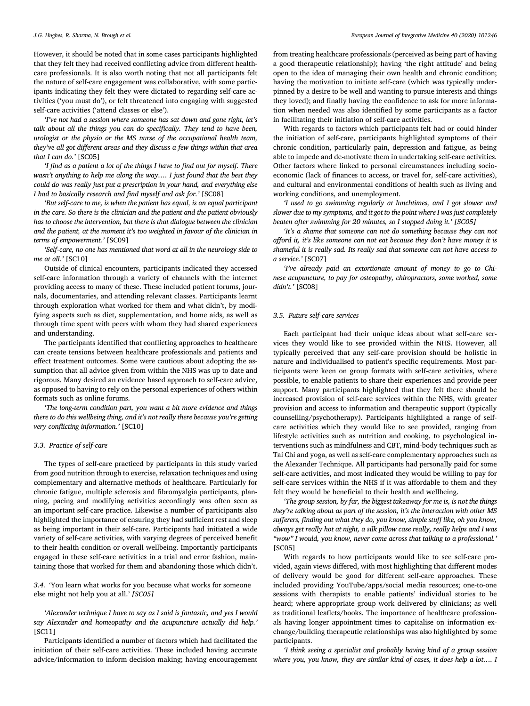However, it should be noted that in some cases participants highlighted that they felt they had received conflicting advice from different healthcare professionals. It is also worth noting that not all participants felt the nature of self-care engagement was collaborative, with some participants indicating they felt they were dictated to regarding self-care activities ('you must do'), or felt threatened into engaging with suggested self-care activities ('attend classes or else').

*'I've not had a session where someone has sat down and gone right, let's talk about all the things you can do specifically. They tend to have been, urologist or the physio or the MS nurse of the occupational health team, they've all got different areas and they discuss a few things within that area that I can do.'* [SC05]

*'I find as a patient a lot of the things I have to find out for myself. There wasn't anything to help me along the way…. I just found that the best they could do was really just put a prescription in your hand, and everything else I had to basically research and find myself and ask for.'* [SC08]

*'But self-care to me, is when the patient has equal, is an equal participant in the care. So there is the clinician and the patient and the patient obviously has to choose the intervention, but there is that dialogue between the clinician and the patient, at the moment it's too weighted in favour of the clinician in terms of empowerment.'* [SC09]

*'Self-care, no one has mentioned that word at all in the neurology side to me at all.'* [SC10]

Outside of clinical encounters, participants indicated they accessed self-care information through a variety of channels with the internet providing access to many of these. These included patient forums, journals, documentaries, and attending relevant classes. Participants learnt through exploration what worked for them and what didn't, by modifying aspects such as diet, supplementation, and home aids, as well as through time spent with peers with whom they had shared experiences and understanding.

The participants identified that conflicting approaches to healthcare can create tensions between healthcare professionals and patients and effect treatment outcomes. Some were cautious about adopting the assumption that all advice given from within the NHS was up to date and rigorous. Many desired an evidence based approach to self-care advice, as opposed to having to rely on the personal experiences of others within formats such as online forums.

*'The long-term condition part, you want a bit more evidence and things there to do this wellbeing thing, and it's not really there because you're getting very conflicting information.'* [SC10]

## *3.3. Practice of self-care*

The types of self-care practiced by participants in this study varied from good nutrition through to exercise, relaxation techniques and using complementary and alternative methods of healthcare. Particularly for chronic fatigue, multiple sclerosis and fibromyalgia participants, planning, pacing and modifying activities accordingly was often seen as an important self-care practice. Likewise a number of participants also highlighted the importance of ensuring they had sufficient rest and sleep as being important in their self-care. Participants had initiated a wide variety of self-care activities, with varying degrees of perceived benefit to their health condition or overall wellbeing. Importantly participants engaged in these self-care activities in a trial and error fashion, maintaining those that worked for them and abandoning those which didn't.

*3.4.* 'You learn what works for you because what works for someone else might not help you at all.' *[SC05]*

*'Alexander technique I have to say as I said is fantastic, and yes I would say Alexander and homeopathy and the acupuncture actually did help.'* [SC11]

Participants identified a number of factors which had facilitated the initiation of their self-care activities. These included having accurate advice/information to inform decision making; having encouragement

from treating healthcare professionals (perceived as being part of having a good therapeutic relationship); having 'the right attitude' and being open to the idea of managing their own health and chronic condition; having the motivation to initiate self-care (which was typically underpinned by a desire to be well and wanting to pursue interests and things they loved); and finally having the confidence to ask for more information when needed was also identified by some participants as a factor in facilitating their initiation of self-care activities.

With regards to factors which participants felt had or could hinder the initiation of self-care, participants highlighted symptoms of their chronic condition, particularly pain, depression and fatigue, as being able to impede and de-motivate them in undertaking self-care activities. Other factors where linked to personal circumstances including socioeconomic (lack of finances to access, or travel for, self-care activities), and cultural and environmental conditions of health such as living and working conditions, and unemployment.

*'I used to go swimming regularly at lunchtimes, and I got slower and slower due to my symptoms, and it got to the point where I was just completely beaten after swimming for 20 minutes, so I stopped doing it.' [SC05]*

*'It's a shame that someone can not do something because they can not afford it, it's like someone can not eat because they don't have money it is shameful it is really sad. Its really sad that someone can not have access to a service.'* [SC07]

*'I've already paid an extortionate amount of money to go to Chinese acupuncture, to pay for osteopathy, chiropractors, some worked, some didn't.'* [SC08]

## *3.5. Future self-care services*

Each participant had their unique ideas about what self-care services they would like to see provided within the NHS. However, all typically perceived that any self-care provision should be holistic in nature and individualised to patient's specific requirements. Most participants were keen on group formats with self-care activities, where possible, to enable patients to share their experiences and provide peer support. Many participants highlighted that they felt there should be increased provision of self-care services within the NHS, with greater provision and access to information and therapeutic support (typically counselling/psychotherapy). Participants highlighted a range of selfcare activities which they would like to see provided, ranging from lifestyle activities such as nutrition and cooking, to psychological interventions such as mindfulness and CBT, mind-body techniques such as Tai Chi and yoga, as well as self-care complementary approaches such as the Alexander Technique. All participants had personally paid for some self-care activities, and most indicated they would be willing to pay for self-care services within the NHS if it was affordable to them and they felt they would be beneficial to their health and wellbeing.

*'The group session, by far, the biggest takeaway for me is, is not the things they're talking about as part of the session, it's the interaction with other MS sufferers, finding out what they do, you know, simple stuff like, oh you know, always get really hot at night, a silk pillow case really, really helps and I was "wow" I would, you know, never come across that talking to a professional.'* [SC05]

With regards to how participants would like to see self-care provided, again views differed, with most highlighting that different modes of delivery would be good for different self-care approaches. These included providing YouTube/apps/social media resources; one-to-one sessions with therapists to enable patients' individual stories to be heard; where appropriate group work delivered by clinicians; as well as traditional leaflets/books. The importance of healthcare professionals having longer appointment times to capitalise on information exchange/building therapeutic relationships was also highlighted by some participants.

*'I think seeing a specialist and probably having kind of a group session where you, you know, they are similar kind of cases, it does help a lot…. I*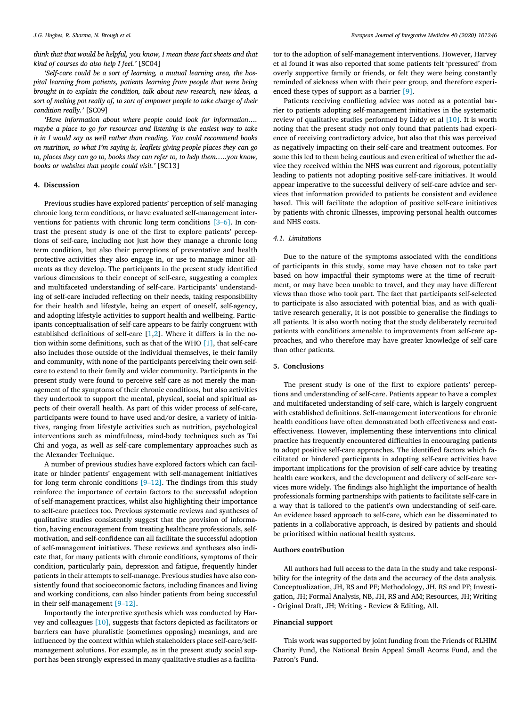*think that that would be helpful, you know, I mean these fact sheets and that kind of courses do also help I feel.'* [SC04]

*'Self-care could be a sort of learning, a mutual learning area, the hospital learning from patients, patients learning from people that were being brought in to explain the condition, talk about new research, new ideas, a sort of melting pot really of, to sort of empower people to take charge of their condition really.'* [SC09]

*'Have information about where people could look for information…. maybe a place to go for resources and listening is the easiest way to take it in I would say as well rather than reading. You could recommend books on nutrition, so what I'm saying is, leaflets giving people places they can go to, places they can go to, books they can refer to, to help them…..you know, books or websites that people could visit.'* [SC13]

#### **4. Discussion**

Previous studies have explored patients' perception of self-managing chronic long term conditions, or have evaluated self-management interventions for patients with chronic long term conditions [\[3–6\].](#page-4-0) In contrast the present study is one of the first to explore patients' perceptions of self-care, including not just how they manage a chronic long term condition, but also their perceptions of preventative and health protective activities they also engage in, or use to manage minor ailments as they develop. The participants in the present study identified various dimensions to their concept of self-care, suggesting a complex and multifaceted understanding of self-care. Participants' understanding of self-care included reflecting on their needs, taking responsibility for their health and lifestyle, being an expert of oneself, self-agency, and adopting lifestyle activities to support health and wellbeing. Participants conceptualisation of self-care appears to be fairly congruent with established definitions of self-care [\[1,2\]](#page-4-0). Where it differs is in the notion within some definitions, such as that of the WHO [\[1\],](#page-4-0) that self-care also includes those outside of the individual themselves, ie their family and community, with none of the participants perceiving their own selfcare to extend to their family and wider community. Participants in the present study were found to perceive self-care as not merely the management of the symptoms of their chronic conditions, but also activities they undertook to support the mental, physical, social and spiritual aspects of their overall health. As part of this wider process of self-care, participants were found to have used and/or desire, a variety of initiatives, ranging from lifestyle activities such as nutrition, psychological interventions such as mindfulness, mind-body techniques such as Tai Chi and yoga, as well as self-care complementary approaches such as the Alexander Technique.

A number of previous studies have explored factors which can facilitate or hinder patients' engagement with self-management initiatives for long term chronic conditions  $[9-12]$ . The findings from this study reinforce the importance of certain factors to the successful adoption of self-management practices, whilst also highlighting their importance to self-care practices too. Previous systematic reviews and syntheses of qualitative studies consistently suggest that the provision of information, having encouragement from treating healthcare professionals, selfmotivation, and self-confidence can all facilitate the successful adoption of self-management initiatives. These reviews and syntheses also indicate that, for many patients with chronic conditions, symptoms of their condition, particularly pain, depression and fatigue, frequently hinder patients in their attempts to self-manage. Previous studies have also consistently found that socioeconomic factors, including finances and living and working conditions, can also hinder patients from being successful in their self-management [\[9–12\].](#page-4-0)

Importantly the interpretive synthesis which was conducted by Harvey and colleagues [\[10\],](#page-4-0) suggests that factors depicted as facilitators or barriers can have pluralistic (sometimes opposing) meanings, and are influenced by the context within which stakeholders place self-care/selfmanagement solutions. For example, as in the present study social support has been strongly expressed in many qualitative studies as a facilitator to the adoption of self-management interventions. However, Harvey et al found it was also reported that some patients felt 'pressured' from overly supportive family or friends, or felt they were being constantly reminded of sickness when with their peer group, and therefore experienced these types of support as a barrier [\[9\].](#page-4-0)

Patients receiving conflicting advice was noted as a potential barrier to patients adopting self-management initiatives in the systematic review of qualitative studies performed by Liddy et al [\[10\].](#page-4-0) It is worth noting that the present study not only found that patients had experience of receiving contradictory advice, but also that this was perceived as negatively impacting on their self-care and treatment outcomes. For some this led to them being cautious and even critical of whether the advice they received within the NHS was current and rigorous, potentially leading to patients not adopting positive self-care initiatives. It would appear imperative to the successful delivery of self-care advice and services that information provided to patients be consistent and evidence based. This will facilitate the adoption of positive self-care initiatives by patients with chronic illnesses, improving personal health outcomes and NHS costs.

## *4.1. Limitations*

Due to the nature of the symptoms associated with the conditions of participants in this study, some may have chosen not to take part based on how impactful their symptoms were at the time of recruitment, or may have been unable to travel, and they may have different views than those who took part. The fact that participants self-selected to participate is also associated with potential bias, and as with qualitative research generally, it is not possible to generalise the findings to all patients. It is also worth noting that the study deliberately recruited patients with conditions amenable to improvements from self-care approaches, and who therefore may have greater knowledge of self-care than other patients.

#### **5. Conclusions**

The present study is one of the first to explore patients' perceptions and understanding of self-care. Patients appear to have a complex and multifaceted understanding of self-care, which is largely congruent with established definitions. Self-management interventions for chronic health conditions have often demonstrated both effectiveness and costeffectiveness. However, implementing these interventions into clinical practice has frequently encountered difficulties in encouraging patients to adopt positive self-care approaches. The identified factors which facilitated or hindered participants in adopting self-care activities have important implications for the provision of self-care advice by treating health care workers, and the development and delivery of self-care services more widely. The findings also highlight the importance of health professionals forming partnerships with patients to facilitate self-care in a way that is tailored to the patient's own understanding of self-care. An evidence based approach to self-care, which can be disseminated to patients in a collaborative approach, is desired by patients and should be prioritised within national health systems.

#### **Authors contribution**

All authors had full access to the data in the study and take responsibility for the integrity of the data and the accuracy of the data analysis. Conceptualization, JH, RS and PF; Methodology, JH, RS and PF; Investigation, JH; Formal Analysis, NB, JH, RS and AM; Resources, JH; Writing - Original Draft, JH; Writing - Review & Editing, All.

#### **Financial support**

This work was supported by joint funding from the Friends of RLHIM Charity Fund, the National Brain Appeal Small Acorns Fund, and the Patron's Fund.